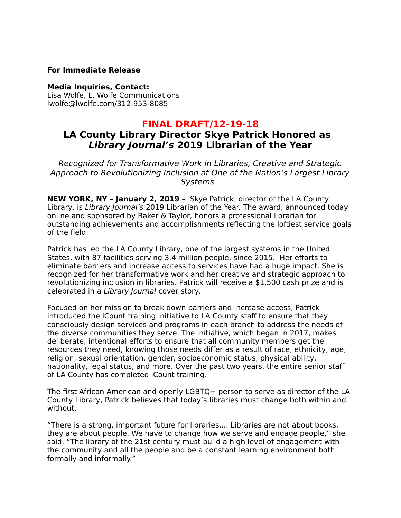### **For Immediate Release**

#### **Media Inquiries, Contact:**

Lisa Wolfe, L. Wolfe Communications lwolfe@lwolfe.com/312-953-8085

## **FINAL DRAFT/12-19-18**

# **LA County Library Director Skye Patrick Honored as Library Journal's 2019 Librarian of the Year**

Recognized for Transformative Work in Libraries, Creative and Strategic Approach to Revolutionizing Inclusion at One of the Nation's Largest Library **Systems** 

**NEW YORK, NY – January 2, 2019** – Skye Patrick, director of the LA County Library, is Library Journal's 2019 Librarian of the Year. The award, announced today online and sponsored by Baker & Taylor, honors a professional librarian for outstanding achievements and accomplishments reflecting the loftiest service goals of the field.

Patrick has led the LA County Library, one of the largest systems in the United States, with 87 facilities serving 3.4 million people, since 2015. Her efforts to eliminate barriers and increase access to services have had a huge impact. She is recognized for her transformative work and her creative and strategic approach to revolutionizing inclusion in libraries. Patrick will receive a \$1,500 cash prize and is celebrated in a Library Journal cover story.

Focused on her mission to break down barriers and increase access, Patrick introduced the iCount training initiative to LA County staff to ensure that they consciously design services and programs in each branch to address the needs of the diverse communities they serve. The initiative, which began in 2017, makes deliberate, intentional efforts to ensure that all community members get the resources they need, knowing those needs differ as a result of race, ethnicity, age, religion, sexual orientation, gender, socioeconomic status, physical ability, nationality, legal status, and more. Over the past two years, the entire senior staff of LA County has completed iCount training.

The first African American and openly LGBTQ+ person to serve as director of the LA County Library, Patrick believes that today's libraries must change both within and without.

"There is a strong, important future for libraries.... Libraries are not about books, they are about people. We have to change how we serve and engage people," she said. "The library of the 21st century must build a high level of engagement with the community and all the people and be a constant learning environment both formally and informally."